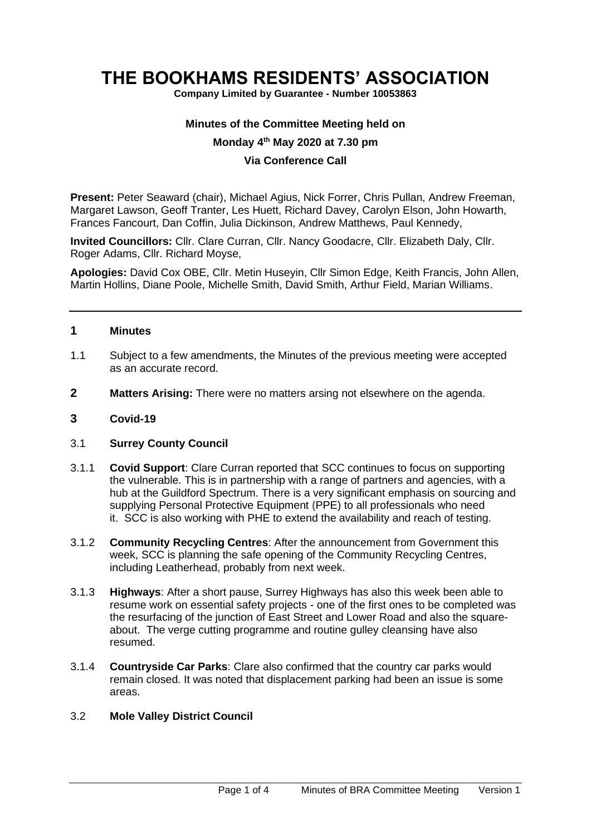# **THE BOOKHAMS RESIDENTS' ASSOCIATION**

**Company Limited by Guarantee - Number 10053863**

#### **Minutes of the Committee Meeting held on**

## **Monday 4 th May 2020 at 7.30 pm**

## **Via Conference Call**

**Present:** Peter Seaward (chair), Michael Agius, Nick Forrer, Chris Pullan, Andrew Freeman, Margaret Lawson, Geoff Tranter, Les Huett, Richard Davey, Carolyn Elson, John Howarth, Frances Fancourt, Dan Coffin, Julia Dickinson, Andrew Matthews, Paul Kennedy,

**Invited Councillors:** Cllr. Clare Curran, Cllr. Nancy Goodacre, Cllr. Elizabeth Daly, Cllr. Roger Adams, Cllr. Richard Moyse,

**Apologies:** David Cox OBE, Cllr. Metin Huseyin, Cllr Simon Edge, Keith Francis, John Allen, Martin Hollins, Diane Poole, Michelle Smith, David Smith, Arthur Field, Marian Williams.

#### **1 Minutes**

- 1.1 Subject to a few amendments, the Minutes of the previous meeting were accepted as an accurate record.
- **2 Matters Arising:** There were no matters arsing not elsewhere on the agenda.

#### **3 Covid-19**

#### 3.1 **Surrey County Council**

- 3.1.1 **Covid Support**: Clare Curran reported that SCC continues to focus on supporting the vulnerable. This is in partnership with a range of partners and agencies, with a hub at the Guildford Spectrum. There is a very significant emphasis on sourcing and supplying Personal Protective Equipment **(**PPE) to all professionals who need it. SCC is also working with PHE to extend the availability and reach of testing.
- 3.1.2 **Community Recycling Centres**: After the announcement from Government this week, SCC is planning the safe opening of the Community Recycling Centres, including Leatherhead, probably from next week.
- 3.1.3 **Highways**: After a short pause, Surrey Highways has also this week been able to resume work on essential safety projects - one of the first ones to be completed was the resurfacing of the junction of East Street and Lower Road and also the squareabout. The verge cutting programme and routine gulley cleansing have also resumed.
- 3.1.4 **Countryside Car Parks**: Clare also confirmed that the country car parks would remain closed. It was noted that displacement parking had been an issue is some areas.

#### 3.2 **Mole Valley District Council**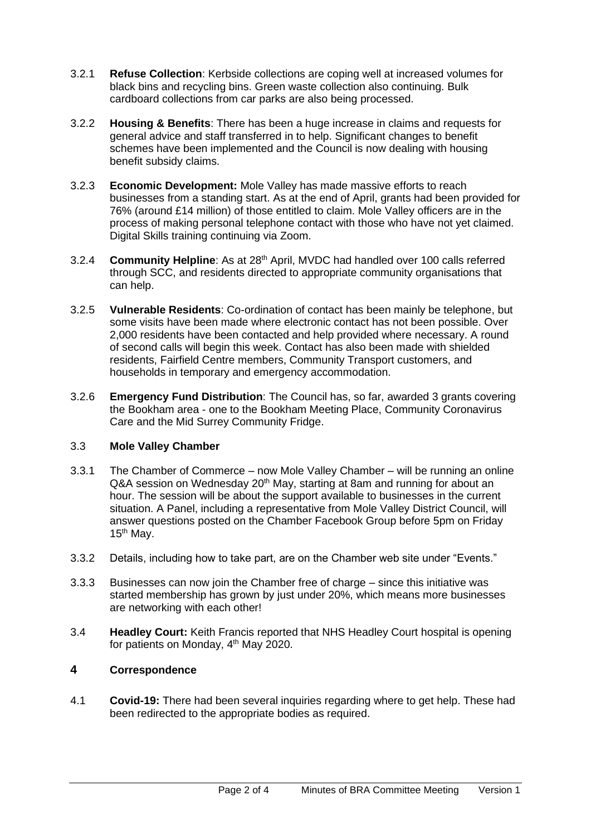- 3.2.1 **Refuse Collection**: Kerbside collections are coping well at increased volumes for black bins and recycling bins. Green waste collection also continuing. Bulk cardboard collections from car parks are also being processed.
- 3.2.2 **Housing & Benefits**: There has been a huge increase in claims and requests for general advice and staff transferred in to help. Significant changes to benefit schemes have been implemented and the Council is now dealing with housing benefit subsidy claims.
- 3.2.3 **Economic Development:** Mole Valley has made massive efforts to reach businesses from a standing start. As at the end of April, grants had been provided for 76% (around £14 million) of those entitled to claim. Mole Valley officers are in the process of making personal telephone contact with those who have not yet claimed. Digital Skills training continuing via Zoom.
- 3.2.4 **Community Helpline**: As at 28th April, MVDC had handled over 100 calls referred through SCC, and residents directed to appropriate community organisations that can help.
- 3.2.5 **Vulnerable Residents**: Co-ordination of contact has been mainly be telephone, but some visits have been made where electronic contact has not been possible. Over 2,000 residents have been contacted and help provided where necessary. A round of second calls will begin this week. Contact has also been made with shielded residents, Fairfield Centre members, Community Transport customers, and households in temporary and emergency accommodation.
- 3.2.6 **Emergency Fund Distribution**: The Council has, so far, awarded 3 grants covering the Bookham area - one to the Bookham Meeting Place, Community Coronavirus Care and the Mid Surrey Community Fridge.

## 3.3 **Mole Valley Chamber**

- 3.3.1 The Chamber of Commerce now Mole Valley Chamber will be running an online Q&A session on Wednesday 20<sup>th</sup> May, starting at 8am and running for about an hour. The session will be about the support available to businesses in the current situation. A Panel, including a representative from Mole Valley District Council, will answer questions posted on the Chamber Facebook Group before 5pm on Friday  $15<sup>th</sup>$  May.
- 3.3.2 Details, including how to take part, are on the Chamber web site under "Events."
- 3.3.3 Businesses can now join the Chamber free of charge since this initiative was started membership has grown by just under 20%, which means more businesses are networking with each other!
- 3.4 **Headley Court:** Keith Francis reported that NHS Headley Court hospital is opening for patients on Monday, 4th May 2020.

# **4 Correspondence**

4.1 **Covid-19:** There had been several inquiries regarding where to get help. These had been redirected to the appropriate bodies as required.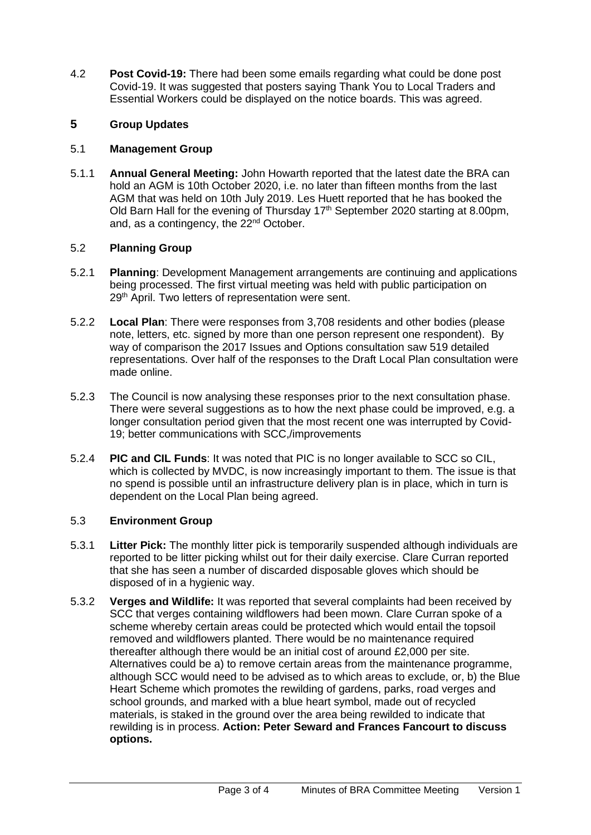4.2 **Post Covid-19:** There had been some emails regarding what could be done post Covid-19. It was suggested that posters saying Thank You to Local Traders and Essential Workers could be displayed on the notice boards. This was agreed.

# **5 Group Updates**

# 5.1 **Management Group**

5.1.1 **Annual General Meeting:** John Howarth reported that the latest date the BRA can hold an AGM is 10th October 2020, i.e. no later than fifteen months from the last AGM that was held on 10th July 2019. Les Huett reported that he has booked the Old Barn Hall for the evening of Thursday 17<sup>th</sup> September 2020 starting at 8.00pm, and, as a contingency, the 22<sup>nd</sup> October.

# 5.2 **Planning Group**

- 5.2.1 **Planning**: Development Management arrangements are continuing and applications being processed. The first virtual meeting was held with public participation on 29<sup>th</sup> April. Two letters of representation were sent.
- 5.2.2 **Local Plan**: There were responses from 3,708 residents and other bodies (please note, letters, etc. signed by more than one person represent one respondent). By way of comparison the 2017 Issues and Options consultation saw 519 detailed representations. Over half of the responses to the Draft Local Plan consultation were made online.
- 5.2.3 The Council is now analysing these responses prior to the next consultation phase. There were several suggestions as to how the next phase could be improved, e.g. a longer consultation period given that the most recent one was interrupted by Covid-19; better communications with SCC,/improvements
- 5.2.4 **PIC and CIL Funds**: It was noted that PIC is no longer available to SCC so CIL, which is collected by MVDC, is now increasingly important to them. The issue is that no spend is possible until an infrastructure delivery plan is in place, which in turn is dependent on the Local Plan being agreed.

# 5.3 **Environment Group**

- 5.3.1 **Litter Pick:** The monthly litter pick is temporarily suspended although individuals are reported to be litter picking whilst out for their daily exercise. Clare Curran reported that she has seen a number of discarded disposable gloves which should be disposed of in a hygienic way.
- 5.3.2 **Verges and Wildlife:** It was reported that several complaints had been received by SCC that verges containing wildflowers had been mown. Clare Curran spoke of a scheme whereby certain areas could be protected which would entail the topsoil removed and wildflowers planted. There would be no maintenance required thereafter although there would be an initial cost of around £2,000 per site. Alternatives could be a) to remove certain areas from the maintenance programme, although SCC would need to be advised as to which areas to exclude, or, b) the Blue Heart Scheme which promotes the rewilding of gardens, parks, road verges and school grounds, and marked with a blue heart symbol, made out of recycled materials, is staked in the ground over the area being rewilded to indicate that rewilding is in process. **Action: Peter Seward and Frances Fancourt to discuss options.**